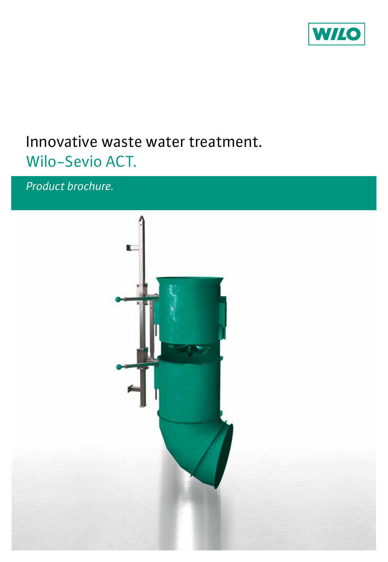

# Innovative waste water treatment. Wilo-Sevio ACT.

*Product brochure.*

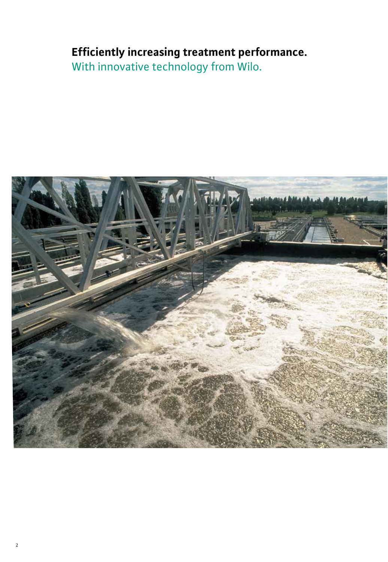## **Efficiently increasing treatment performance.**

With innovative technology from Wilo.

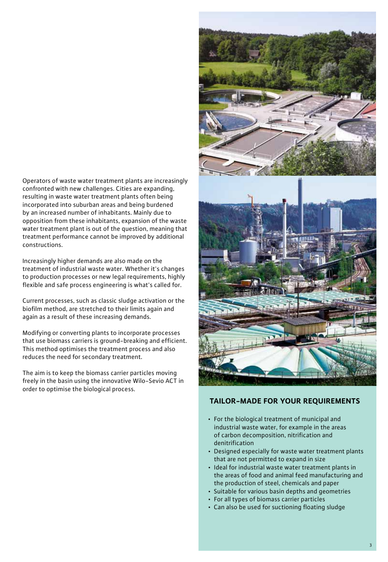Operators of waste water treatment plants are increasingly confronted with new challenges. Cities are expanding, resulting in waste water treatment plants often being incorporated into suburban areas and being burdened by an increased number of inhabitants. Mainly due to opposition from these inhabitants, expansion of the waste water treatment plant is out of the question, meaning that treatment performance cannot be improved by additional constructions.

Increasingly higher demands are also made on the treatment of industrial waste water. Whether it's changes to production processes or new legal requirements, highly flexible and safe process engineering is what's called for.

Current processes, such as classic sludge activation or the biofilm method, are stretched to their limits again and again as a result of these increasing demands.

Modifying or converting plants to incorporate processes that use biomass carriers is ground-breaking and efficient. This method optimises the treatment process and also reduces the need for secondary treatment.

The aim is to keep the biomass carrier particles moving freely in the basin using the innovative Wilo-Sevio ACT in order to optimise the biological process.



### **TAILOR-MADE FOR YOUR REQUIREMENTS**

- For the biological treatment of municipal and industrial waste water, for example in the areas of carbon decomposition, nitrification and denitrification
- Designed especially for waste water treatment plants that are not permitted to expand in size
- • Ideal for industrial waste water treatment plants in the areas of food and animal feed manufacturing and the production of steel, chemicals and paper
- Suitable for various basin depths and geometries
- For all types of biomass carrier particles
- Can also be used for suctioning floating sludge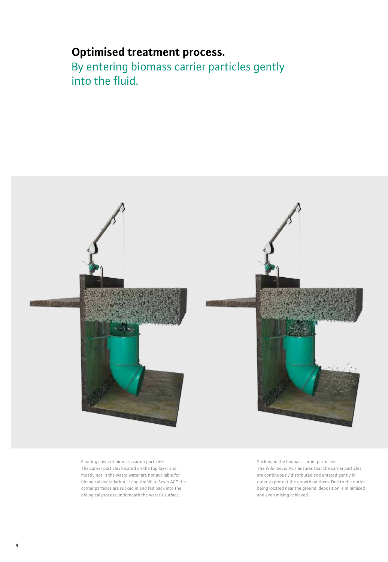## **Optimised treatment process.**

By entering biomass carrier particles gently into the fluid.



Floating cover of biomass carrier particles: The carrier particles located on the top layer and mostly not in the waste water are not available for biological degradation. Using the Wilo-Sevio ACT the carrier particles are sucked in and fed back into the biological process underneath the water's surface.

Sucking in the biomass carrier particles: The Wilo-Sevio ACT ensures that the carrier particles are continuously distributed and entered gently in order to protect the growth on them. Due to the outlet being located near the ground, deposition is minimised and even mixing achieved.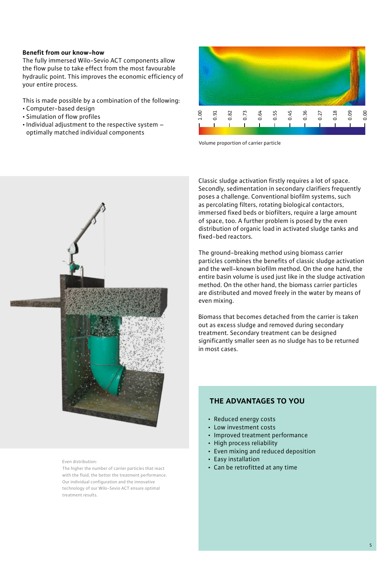#### **Benefit from our know-how**

The fully immersed Wilo-Sevio ACT components allow the flow pulse to take effect from the most favourable hydraulic point. This improves the economic efficiency of your entire process.

This is made possible by a combination of the following:

- • Computer-based design
- • Simulation of flow profiles
- Individual adjustment to the respective system optimally matched individual components



Classic sludge activation firstly requires a lot of space. Secondly, sedimentation in secondary clarifiers frequently poses a challenge. Conventional biofilm systems, such as percolating filters, rotating biological contactors, immersed fixed beds or biofilters, require a large amount of space, too. A further problem is posed by the even distribution of organic load in activated sludge tanks and fixed-bed reactors.

The ground-breaking method using biomass carrier particles combines the benefits of classic sludge activation and the well-known biofilm method. On the one hand, the entire basin volume is used just like in the sludge activation method. On the other hand, the biomass carrier particles are distributed and moved freely in the water by means of even mixing.

Biomass that becomes detached from the carrier is taken out as excess sludge and removed during secondary treatment. Secondary treatment can be designed significantly smaller seen as no sludge has to be returned in most cases.



Even distribution:

The higher the number of carrier particles that react with the fluid, the better the treatment performance. Our individual configuration and the innovative technology of our Wilo-Sevio ACT ensure optimal treatment results.

### **The advantages to you**

- Reduced energy costs
- • Low investment costs
- • Improved treatment performance
- High process reliability
- Even mixing and reduced deposition
- Easy installation
- • Can be retrofitted at any time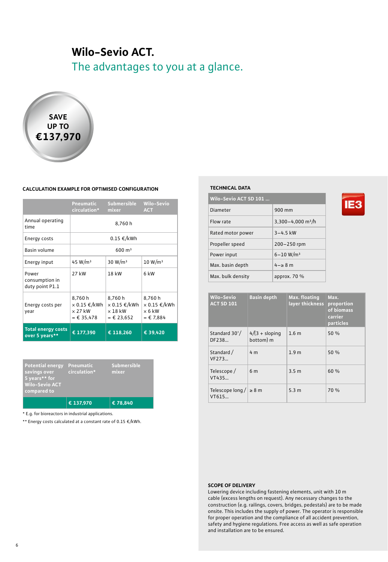## **Wilo-Sevio ACT.**

The advantages to you at a glance.



#### **Calculation example for optimised configuration**

|                                             | Pneumatic<br>circulation*                               | Submersible<br>mixer                                           | <b>Wilo-Sevio</b><br><b>ACT</b>                      |
|---------------------------------------------|---------------------------------------------------------|----------------------------------------------------------------|------------------------------------------------------|
| Annual operating<br>time                    | 8.760h                                                  |                                                                |                                                      |
| Energy costs                                | $0.15 \in /kWh$                                         |                                                                |                                                      |
| Basin volume                                | $600 \; \mathrm{m}^3$                                   |                                                                |                                                      |
| Energy input                                | 45 W/m <sup>3</sup>                                     | 30 W/m <sup>3</sup>                                            | 10 W/m <sup>3</sup>                                  |
| Power<br>consumption in<br>duty point P1.1  | 27 kW                                                   | 18 kW                                                          | 6 kW                                                 |
| Energy costs per<br>year                    | 8.760h<br>× 0.15 €/kWh<br>$\times$ 27 kW<br>$= 635,478$ | 8.760h<br>$\times$ 0.15 €/kWh<br>$\times$ 18 kW<br>$= 623,652$ | 8.760h<br>× 0.15 €/kWh<br>$\times$ 6 kW<br>$= 5.884$ |
| <b>Total energy costs</b><br>over 5 years** | € 177,390                                               | € 118,260                                                      | € 39,420                                             |

| <b>Potential energy</b><br>savings over<br>5 years** for<br><b>Wilo-Sevio ACT</b><br>compared to | Pneumatic<br>circulation* | <b>Submersible</b><br>mixer |
|--------------------------------------------------------------------------------------------------|---------------------------|-----------------------------|
|                                                                                                  | € 137.970                 | € 78.840                    |

\* E.g. for bioreactors in industrial applications.

\*\* Energy costs calculated at a constant rate of 0.15 €/kWh.

#### **TECHNICAL DATA**

| Wilo-Sevio ACT SD 101 |                               |  |  |
|-----------------------|-------------------------------|--|--|
| Diameter              | 900 mm                        |  |  |
| Flow rate             | 3,300-4,000 m <sup>3</sup> /h |  |  |
| Rated motor power     | $3 - 4.5$ kW                  |  |  |
| Propeller speed       | $200 - 250$ rpm               |  |  |
| Power input           | $6 - 10 W/m3$                 |  |  |
| Max. basin depth      | $4-z$ 8 m                     |  |  |
| Max. bulk density     | approx. $70%$                 |  |  |

| <b>Wilo-Sevio</b><br><b>ACT SD 101</b> | <b>Basin depth</b>            | Max. floating<br>layer thickness | Max.<br>proportion<br>of biomass<br>carrier<br>particles |
|----------------------------------------|-------------------------------|----------------------------------|----------------------------------------------------------|
| Standard 30°/<br>DF238                 | $4/(3 +$ sloping<br>bottom) m | 1.6 <sub>m</sub>                 | 50%                                                      |
| Standard /<br>VF273                    | 4 <sub>m</sub>                | 1.9 <sub>m</sub>                 | 50 %                                                     |
| Telescope/<br>VT435                    | 6 <sub>m</sub>                | 3.5 <sub>m</sub>                 | 60 %                                                     |
| Telescope long $/$ $\geq$ 8 m<br>VT615 |                               | 5.3 <sub>m</sub>                 | 70 %                                                     |

#### **Scope of delivery**

Lowering device including fastening elements, unit with 10 m cable (excess lengths on request). Any necessary changes to the construction (e.g. railings, covers, bridges, pedestals) are to be made onsite. This includes the supply of power. The operator is responsible for proper operation and the compliance of all accident prevention, safety and hygiene regulations. Free access as well as safe operation and installation are to be ensured.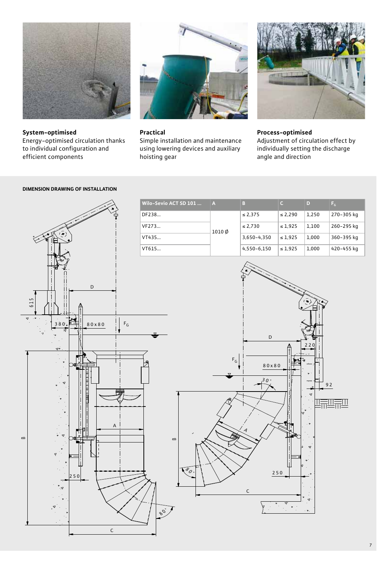

**System-optimised** Energy-optimised circulation thanks to individual configuration and efficient components



## **Practical**

Simple installation and maintenance using lowering devices and auxiliary hoisting gear



**Process-optimised** Adjustment of circulation effect by individually setting the discharge angle and direction



### **DIMENSION DRAWING OF INSTALLATION**